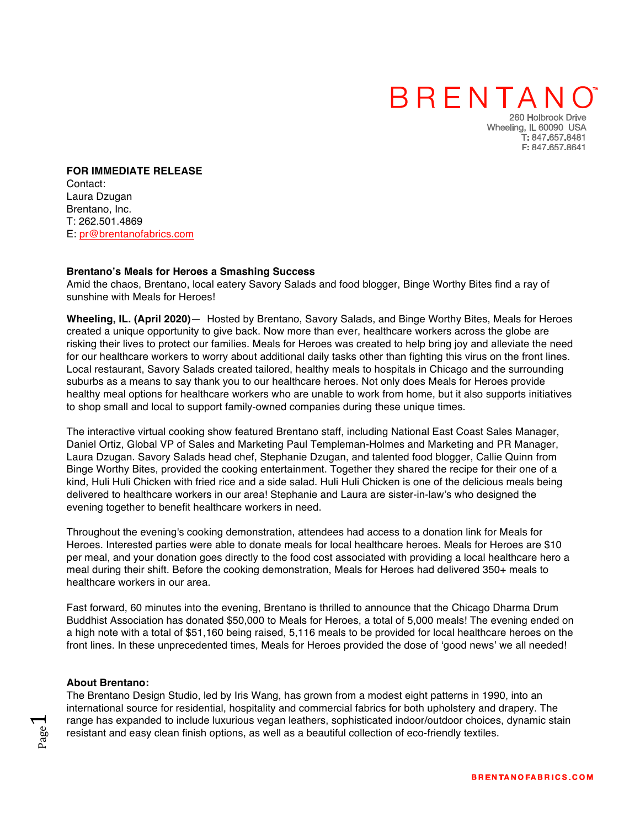## BRENTANO

260 Holbrook Drive Wheeling, IL 60090 USA T: 847.657.8481 F: 847.657.8641

**FOR IMMEDIATE RELEASE** Contact: Laura Dzugan Brentano, Inc. T: 262.501.4869 E: pr@brentanofabrics.com

#### **Brentano's Meals for Heroes a Smashing Success**

Amid the chaos, Brentano, local eatery Savory Salads and food blogger, Binge Worthy Bites find a ray of sunshine with Meals for Heroes!

**Wheeling, IL. (April 2020)**— Hosted by Brentano, Savory Salads, and Binge Worthy Bites, Meals for Heroes created a unique opportunity to give back. Now more than ever, healthcare workers across the globe are risking their lives to protect our families. Meals for Heroes was created to help bring joy and alleviate the need for our healthcare workers to worry about additional daily tasks other than fighting this virus on the front lines. Local restaurant, Savory Salads created tailored, healthy meals to hospitals in Chicago and the surrounding suburbs as a means to say thank you to our healthcare heroes. Not only does Meals for Heroes provide healthy meal options for healthcare workers who are unable to work from home, but it also supports initiatives to shop small and local to support family-owned companies during these unique times.

The interactive virtual cooking show featured Brentano staff, including National East Coast Sales Manager, Daniel Ortiz, Global VP of Sales and Marketing Paul Templeman-Holmes and Marketing and PR Manager, Laura Dzugan. Savory Salads head chef, Stephanie Dzugan, and talented food blogger, Callie Quinn from Binge Worthy Bites, provided the cooking entertainment. Together they shared the recipe for their one of a kind, Huli Huli Chicken with fried rice and a side salad. Huli Huli Chicken is one of the delicious meals being delivered to healthcare workers in our area! Stephanie and Laura are sister-in-law's who designed the evening together to benefit healthcare workers in need.

Throughout the evening's cooking demonstration, attendees had access to a donation link for Meals for Heroes. Interested parties were able to donate meals for local healthcare heroes. Meals for Heroes are \$10 per meal, and your donation goes directly to the food cost associated with providing a local healthcare hero a meal during their shift. Before the cooking demonstration, Meals for Heroes had delivered 350+ meals to healthcare workers in our area.

Fast forward, 60 minutes into the evening, Brentano is thrilled to announce that the Chicago Dharma Drum Buddhist Association has donated \$50,000 to Meals for Heroes, a total of 5,000 meals! The evening ended on a high note with a total of \$51,160 being raised, 5,116 meals to be provided for local healthcare heroes on the front lines. In these unprecedented times, Meals for Heroes provided the dose of 'good news' we all needed!

#### **About Brentano:**

Page  $\overline{\phantom{0}}$ 

The Brentano Design Studio, led by Iris Wang, has grown from a modest eight patterns in 1990, into an international source for residential, hospitality and commercial fabrics for both upholstery and drapery. The range has expanded to include luxurious vegan leathers, sophisticated indoor/outdoor choices, dynamic stain resistant and easy clean finish options, as well as a beautiful collection of eco-friendly textiles.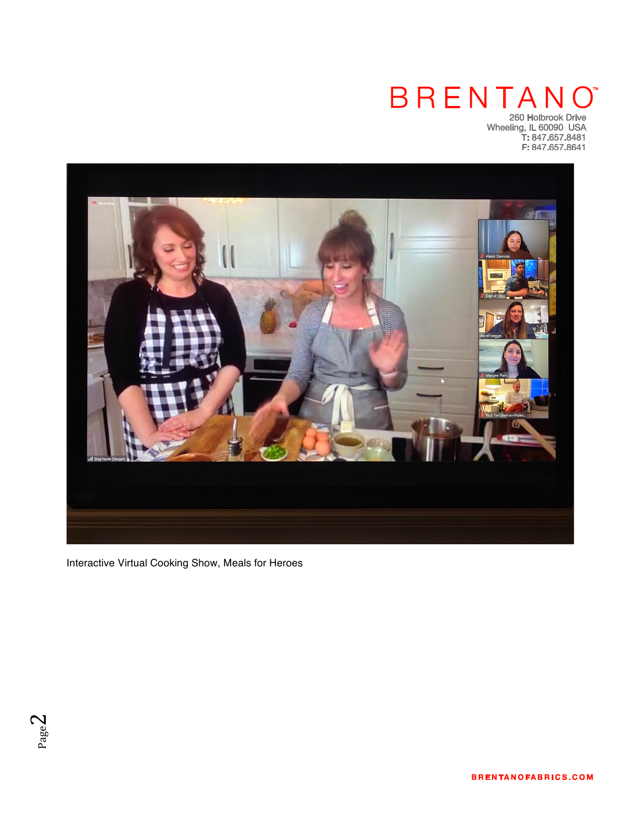### **BRENTANO** 260 Holbrook Drive

Wheeling, IL 60090 USA<br>T: 847.657.8481<br>F: 847.657.8641



Interactive Virtual Cooking Show, Meals for Heroes



**BRENTANOFABRICS.COM**